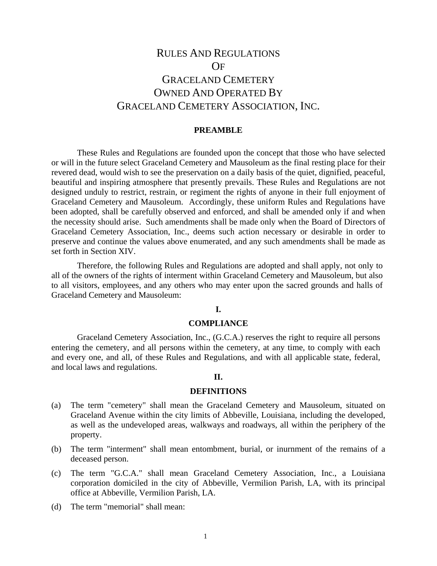# RULES AND REGULATIONS OF GRACELAND CEMETERY OWNED AND OPERATED BY GRACELAND CEMETERY ASSOCIATION, INC.

### **PREAMBLE**

These Rules and Regulations are founded upon the concept that those who have selected or will in the future select Graceland Cemetery and Mausoleum as the final resting place for their revered dead, would wish to see the preservation on a daily basis of the quiet, dignified, peaceful, beautiful and inspiring atmosphere that presently prevails. These Rules and Regulations are not designed unduly to restrict, restrain, or regiment the rights of anyone in their full enjoyment of Graceland Cemetery and Mausoleum. Accordingly, these uniform Rules and Regulations have been adopted, shall be carefully observed and enforced, and shall be amended only if and when the necessity should arise. Such amendments shall be made only when the Board of Directors of Graceland Cemetery Association, Inc., deems such action necessary or desirable in order to preserve and continue the values above enumerated, and any such amendments shall be made as set forth in Section XIV.

Therefore, the following Rules and Regulations are adopted and shall apply, not only to all of the owners of the rights of interment within Graceland Cemetery and Mausoleum, but also to all visitors, employees, and any others who may enter upon the sacred grounds and halls of Graceland Cemetery and Mausoleum:

### **I.**

### **COMPLIANCE**

Graceland Cemetery Association, Inc., (G.C.A.) reserves the right to require all persons entering the cemetery, and all persons within the cemetery, at any time, to comply with each and every one, and all, of these Rules and Regulations, and with all applicable state, federal, and local laws and regulations.

#### **II.**

#### **DEFINITIONS**

- (a) The term "cemetery" shall mean the Graceland Cemetery and Mausoleum, situated on Graceland Avenue within the city limits of Abbeville, Louisiana, including the developed, as well as the undeveloped areas, walkways and roadways, all within the periphery of the property.
- (b) The term "interment" shall mean entombment, burial, or inurnment of the remains of a deceased person.
- (c) The term "G.C.A." shall mean Graceland Cemetery Association, Inc., a Louisiana corporation domiciled in the city of Abbeville, Vermilion Parish, LA, with its principal office at Abbeville, Vermilion Parish, LA.
- (d) The term "memorial" shall mean: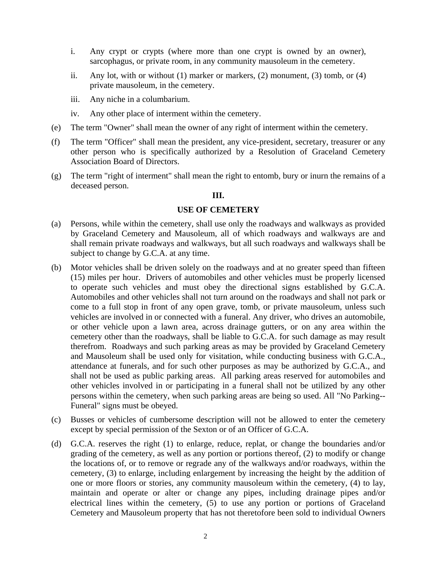- i. Any crypt or crypts (where more than one crypt is owned by an owner), sarcophagus, or private room, in any community mausoleum in the cemetery.
- ii. Any lot, with or without  $(1)$  marker or markers,  $(2)$  monument,  $(3)$  tomb, or  $(4)$ private mausoleum, in the cemetery.
- iii. Any niche in a columbarium.
- iv. Any other place of interment within the cemetery.
- (e) The term "Owner" shall mean the owner of any right of interment within the cemetery.
- (f) The term "Officer" shall mean the president, any vice-president, secretary, treasurer or any other person who is specifically authorized by a Resolution of Graceland Cemetery Association Board of Directors.
- (g) The term "right of interment" shall mean the right to entomb, bury or inurn the remains of a deceased person.

# **III.**

# **USE OF CEMETERY**

- (a) Persons, while within the cemetery, shall use only the roadways and walkways as provided by Graceland Cemetery and Mausoleum, all of which roadways and walkways are and shall remain private roadways and walkways, but all such roadways and walkways shall be subject to change by G.C.A. at any time.
- (b) Motor vehicles shall be driven solely on the roadways and at no greater speed than fifteen (15) miles per hour. Drivers of automobiles and other vehicles must be properly licensed to operate such vehicles and must obey the directional signs established by G.C.A. Automobiles and other vehicles shall not turn around on the roadways and shall not park or come to a full stop in front of any open grave, tomb, or private mausoleum, unless such vehicles are involved in or connected with a funeral. Any driver, who drives an automobile, or other vehicle upon a lawn area, across drainage gutters, or on any area within the cemetery other than the roadways, shall be liable to G.C.A. for such damage as may result therefrom. Roadways and such parking areas as may be provided by Graceland Cemetery and Mausoleum shall be used only for visitation, while conducting business with G.C.A., attendance at funerals, and for such other purposes as may be authorized by G.C.A., and shall not be used as public parking areas. All parking areas reserved for automobiles and other vehicles involved in or participating in a funeral shall not be utilized by any other persons within the cemetery, when such parking areas are being so used. All "No Parking-- Funeral" signs must be obeyed.
- (c) Busses or vehicles of cumbersome description will not be allowed to enter the cemetery except by special permission of the Sexton or of an Officer of G.C.A.
- (d) G.C.A. reserves the right (1) to enlarge, reduce, replat, or change the boundaries and/or grading of the cemetery, as well as any portion or portions thereof, (2) to modify or change the locations of, or to remove or regrade any of the walkways and/or roadways, within the cemetery, (3) to enlarge, including enlargement by increasing the height by the addition of one or more floors or stories, any community mausoleum within the cemetery, (4) to lay, maintain and operate or alter or change any pipes, including drainage pipes and/or electrical lines within the cemetery, (5) to use any portion or portions of Graceland Cemetery and Mausoleum property that has not theretofore been sold to individual Owners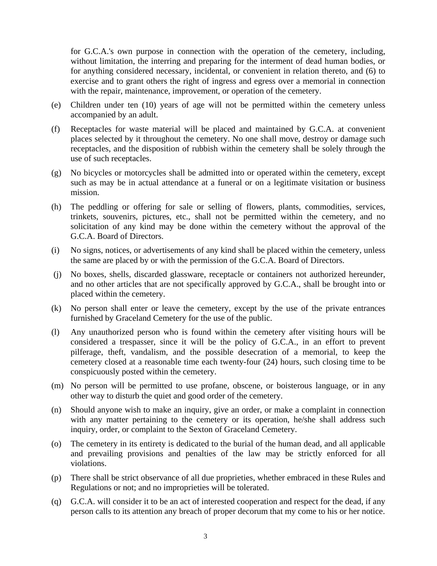for G.C.A.'s own purpose in connection with the operation of the cemetery, including, without limitation, the interring and preparing for the interment of dead human bodies, or for anything considered necessary, incidental, or convenient in relation thereto, and (6) to exercise and to grant others the right of ingress and egress over a memorial in connection with the repair, maintenance, improvement, or operation of the cemetery.

- (e) Children under ten (10) years of age will not be permitted within the cemetery unless accompanied by an adult.
- (f) Receptacles for waste material will be placed and maintained by G.C.A. at convenient places selected by it throughout the cemetery. No one shall move, destroy or damage such receptacles, and the disposition of rubbish within the cemetery shall be solely through the use of such receptacles.
- (g) No bicycles or motorcycles shall be admitted into or operated within the cemetery, except such as may be in actual attendance at a funeral or on a legitimate visitation or business mission.
- (h) The peddling or offering for sale or selling of flowers, plants, commodities, services, trinkets, souvenirs, pictures, etc., shall not be permitted within the cemetery, and no solicitation of any kind may be done within the cemetery without the approval of the G.C.A. Board of Directors.
- (i) No signs, notices, or advertisements of any kind shall be placed within the cemetery, unless the same are placed by or with the permission of the G.C.A. Board of Directors.
- (j) No boxes, shells, discarded glassware, receptacle or containers not authorized hereunder, and no other articles that are not specifically approved by G.C.A., shall be brought into or placed within the cemetery.
- (k) No person shall enter or leave the cemetery, except by the use of the private entrances furnished by Graceland Cemetery for the use of the public.
- (l) Any unauthorized person who is found within the cemetery after visiting hours will be considered a trespasser, since it will be the policy of G.C.A., in an effort to prevent pilferage, theft, vandalism, and the possible desecration of a memorial, to keep the cemetery closed at a reasonable time each twenty-four (24) hours, such closing time to be conspicuously posted within the cemetery.
- (m) No person will be permitted to use profane, obscene, or boisterous language, or in any other way to disturb the quiet and good order of the cemetery.
- (n) Should anyone wish to make an inquiry, give an order, or make a complaint in connection with any matter pertaining to the cemetery or its operation, he/she shall address such inquiry, order, or complaint to the Sexton of Graceland Cemetery.
- (o) The cemetery in its entirety is dedicated to the burial of the human dead, and all applicable and prevailing provisions and penalties of the law may be strictly enforced for all violations.
- (p) There shall be strict observance of all due proprieties, whether embraced in these Rules and Regulations or not; and no improprieties will be tolerated.
- (q) G.C.A. will consider it to be an act of interested cooperation and respect for the dead, if any person calls to its attention any breach of proper decorum that my come to his or her notice.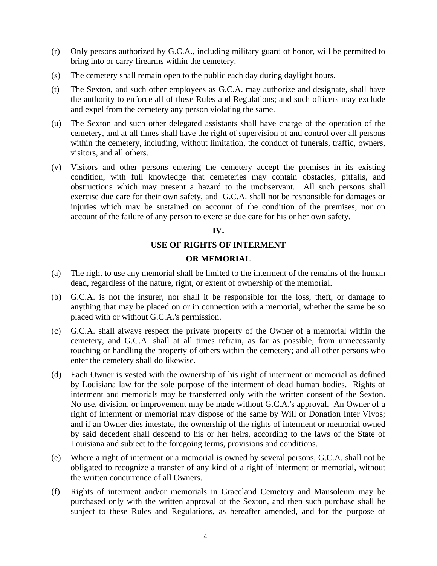- (r) Only persons authorized by G.C.A., including military guard of honor, will be permitted to bring into or carry firearms within the cemetery.
- (s) The cemetery shall remain open to the public each day during daylight hours.
- (t) The Sexton, and such other employees as G.C.A. may authorize and designate, shall have the authority to enforce all of these Rules and Regulations; and such officers may exclude and expel from the cemetery any person violating the same.
- (u) The Sexton and such other delegated assistants shall have charge of the operation of the cemetery, and at all times shall have the right of supervision of and control over all persons within the cemetery, including, without limitation, the conduct of funerals, traffic, owners, visitors, and all others.
- (v) Visitors and other persons entering the cemetery accept the premises in its existing condition, with full knowledge that cemeteries may contain obstacles, pitfalls, and obstructions which may present a hazard to the unobservant. All such persons shall exercise due care for their own safety, and G.C.A. shall not be responsible for damages or injuries which may be sustained on account of the condition of the premises, nor on account of the failure of any person to exercise due care for his or her own safety.

# **IV.**

# **USE OF RIGHTS OF INTERMENT**

# **OR MEMORIAL**

- (a) The right to use any memorial shall be limited to the interment of the remains of the human dead, regardless of the nature, right, or extent of ownership of the memorial.
- (b) G.C.A. is not the insurer, nor shall it be responsible for the loss, theft, or damage to anything that may be placed on or in connection with a memorial, whether the same be so placed with or without G.C.A.'s permission.
- (c) G.C.A. shall always respect the private property of the Owner of a memorial within the cemetery, and G.C.A. shall at all times refrain, as far as possible, from unnecessarily touching or handling the property of others within the cemetery; and all other persons who enter the cemetery shall do likewise.
- (d) Each Owner is vested with the ownership of his right of interment or memorial as defined by Louisiana law for the sole purpose of the interment of dead human bodies. Rights of interment and memorials may be transferred only with the written consent of the Sexton. No use, division, or improvement may be made without G.C.A.'s approval. An Owner of a right of interment or memorial may dispose of the same by Will or Donation Inter Vivos; and if an Owner dies intestate, the ownership of the rights of interment or memorial owned by said decedent shall descend to his or her heirs, according to the laws of the State of Louisiana and subject to the foregoing terms, provisions and conditions.
- (e) Where a right of interment or a memorial is owned by several persons, G.C.A. shall not be obligated to recognize a transfer of any kind of a right of interment or memorial, without the written concurrence of all Owners.
- (f) Rights of interment and/or memorials in Graceland Cemetery and Mausoleum may be purchased only with the written approval of the Sexton, and then such purchase shall be subject to these Rules and Regulations, as hereafter amended, and for the purpose of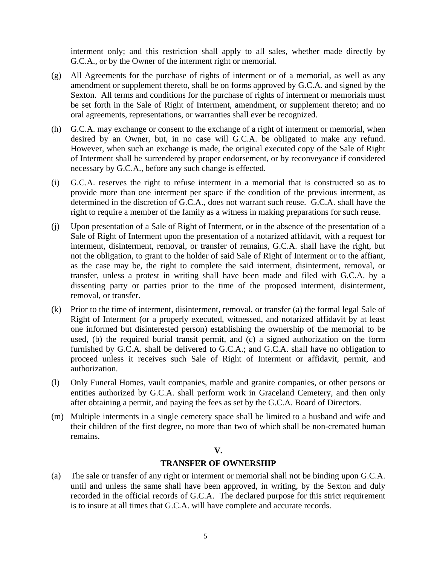interment only; and this restriction shall apply to all sales, whether made directly by G.C.A., or by the Owner of the interment right or memorial.

- (g) All Agreements for the purchase of rights of interment or of a memorial, as well as any amendment or supplement thereto, shall be on forms approved by G.C.A. and signed by the Sexton. All terms and conditions for the purchase of rights of interment or memorials must be set forth in the Sale of Right of Interment, amendment, or supplement thereto; and no oral agreements, representations, or warranties shall ever be recognized.
- (h) G.C.A. may exchange or consent to the exchange of a right of interment or memorial, when desired by an Owner, but, in no case will G.C.A. be obligated to make any refund. However, when such an exchange is made, the original executed copy of the Sale of Right of Interment shall be surrendered by proper endorsement, or by reconveyance if considered necessary by G.C.A., before any such change is effected.
- (i) G.C.A. reserves the right to refuse interment in a memorial that is constructed so as to provide more than one interment per space if the condition of the previous interment, as determined in the discretion of G.C.A., does not warrant such reuse. G.C.A. shall have the right to require a member of the family as a witness in making preparations for such reuse.
- (j) Upon presentation of a Sale of Right of Interment, or in the absence of the presentation of a Sale of Right of Interment upon the presentation of a notarized affidavit, with a request for interment, disinterment, removal, or transfer of remains, G.C.A. shall have the right, but not the obligation, to grant to the holder of said Sale of Right of Interment or to the affiant, as the case may be, the right to complete the said interment, disinterment, removal, or transfer, unless a protest in writing shall have been made and filed with G.C.A. by a dissenting party or parties prior to the time of the proposed interment, disinterment, removal, or transfer.
- (k) Prior to the time of interment, disinterment, removal, or transfer (a) the formal legal Sale of Right of Interment (or a properly executed, witnessed, and notarized affidavit by at least one informed but disinterested person) establishing the ownership of the memorial to be used, (b) the required burial transit permit, and (c) a signed authorization on the form furnished by G.C.A. shall be delivered to G.C.A.; and G.C.A. shall have no obligation to proceed unless it receives such Sale of Right of Interment or affidavit, permit, and authorization.
- (l) Only Funeral Homes, vault companies, marble and granite companies, or other persons or entities authorized by G.C.A. shall perform work in Graceland Cemetery, and then only after obtaining a permit, and paying the fees as set by the G.C.A. Board of Directors.
- (m) Multiple interments in a single cemetery space shall be limited to a husband and wife and their children of the first degree, no more than two of which shall be non-cremated human remains.

# **V.**

# **TRANSFER OF OWNERSHIP**

(a) The sale or transfer of any right or interment or memorial shall not be binding upon G.C.A. until and unless the same shall have been approved, in writing, by the Sexton and duly recorded in the official records of G.C.A. The declared purpose for this strict requirement is to insure at all times that G.C.A. will have complete and accurate records.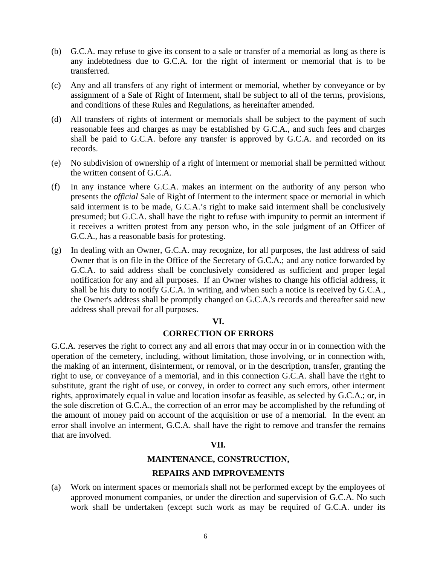- (b) G.C.A. may refuse to give its consent to a sale or transfer of a memorial as long as there is any indebtedness due to G.C.A. for the right of interment or memorial that is to be transferred.
- (c) Any and all transfers of any right of interment or memorial, whether by conveyance or by assignment of a Sale of Right of Interment, shall be subject to all of the terms, provisions, and conditions of these Rules and Regulations, as hereinafter amended.
- (d) All transfers of rights of interment or memorials shall be subject to the payment of such reasonable fees and charges as may be established by G.C.A., and such fees and charges shall be paid to G.C.A. before any transfer is approved by G.C.A. and recorded on its records.
- (e) No subdivision of ownership of a right of interment or memorial shall be permitted without the written consent of G.C.A.
- (f) In any instance where G.C.A. makes an interment on the authority of any person who presents the *official* Sale of Right of Interment to the interment space or memorial in which said interment is to be made, G.C.A.'s right to make said interment shall be conclusively presumed; but G.C.A. shall have the right to refuse with impunity to permit an interment if it receives a written protest from any person who, in the sole judgment of an Officer of G.C.A., has a reasonable basis for protesting.
- (g) In dealing with an Owner, G.C.A. may recognize, for all purposes, the last address of said Owner that is on file in the Office of the Secretary of G.C.A.; and any notice forwarded by G.C.A. to said address shall be conclusively considered as sufficient and proper legal notification for any and all purposes. If an Owner wishes to change his official address, it shall be his duty to notify G.C.A. in writing, and when such a notice is received by G.C.A., the Owner's address shall be promptly changed on G.C.A.'s records and thereafter said new address shall prevail for all purposes.

#### **VI.**

# **CORRECTION OF ERRORS**

G.C.A. reserves the right to correct any and all errors that may occur in or in connection with the operation of the cemetery, including, without limitation, those involving, or in connection with, the making of an interment, disinterment, or removal, or in the description, transfer, granting the right to use, or conveyance of a memorial, and in this connection G.C.A. shall have the right to substitute, grant the right of use, or convey, in order to correct any such errors, other interment rights, approximately equal in value and location insofar as feasible, as selected by G.C.A.; or, in the sole discretion of G.C.A., the correction of an error may be accomplished by the refunding of the amount of money paid on account of the acquisition or use of a memorial. In the event an error shall involve an interment, G.C.A. shall have the right to remove and transfer the remains that are involved.

#### **VII.**

# **MAINTENANCE, CONSTRUCTION,**

# **REPAIRS AND IMPROVEMENTS**

(a) Work on interment spaces or memorials shall not be performed except by the employees of approved monument companies, or under the direction and supervision of G.C.A. No such work shall be undertaken (except such work as may be required of G.C.A. under its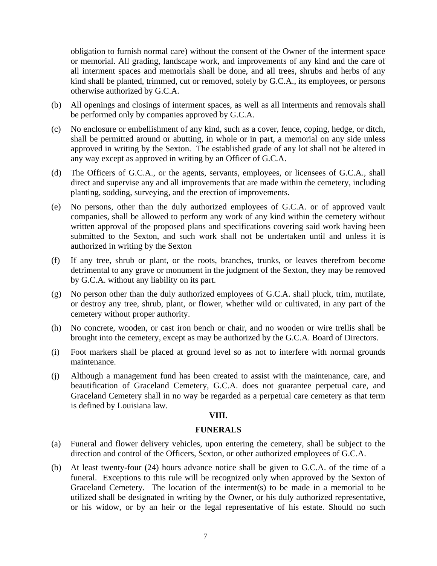obligation to furnish normal care) without the consent of the Owner of the interment space or memorial. All grading, landscape work, and improvements of any kind and the care of all interment spaces and memorials shall be done, and all trees, shrubs and herbs of any kind shall be planted, trimmed, cut or removed, solely by G.C.A., its employees, or persons otherwise authorized by G.C.A.

- (b) All openings and closings of interment spaces, as well as all interments and removals shall be performed only by companies approved by G.C.A.
- (c) No enclosure or embellishment of any kind, such as a cover, fence, coping, hedge, or ditch, shall be permitted around or abutting, in whole or in part, a memorial on any side unless approved in writing by the Sexton. The established grade of any lot shall not be altered in any way except as approved in writing by an Officer of G.C.A.
- (d) The Officers of G.C.A., or the agents, servants, employees, or licensees of G.C.A., shall direct and supervise any and all improvements that are made within the cemetery, including planting, sodding, surveying, and the erection of improvements.
- (e) No persons, other than the duly authorized employees of G.C.A. or of approved vault companies, shall be allowed to perform any work of any kind within the cemetery without written approval of the proposed plans and specifications covering said work having been submitted to the Sexton, and such work shall not be undertaken until and unless it is authorized in writing by the Sexton
- (f) If any tree, shrub or plant, or the roots, branches, trunks, or leaves therefrom become detrimental to any grave or monument in the judgment of the Sexton, they may be removed by G.C.A. without any liability on its part.
- (g) No person other than the duly authorized employees of G.C.A. shall pluck, trim, mutilate, or destroy any tree, shrub, plant, or flower, whether wild or cultivated, in any part of the cemetery without proper authority.
- (h) No concrete, wooden, or cast iron bench or chair, and no wooden or wire trellis shall be brought into the cemetery, except as may be authorized by the G.C.A. Board of Directors.
- (i) Foot markers shall be placed at ground level so as not to interfere with normal grounds maintenance.
- (j) Although a management fund has been created to assist with the maintenance, care, and beautification of Graceland Cemetery, G.C.A. does not guarantee perpetual care, and Graceland Cemetery shall in no way be regarded as a perpetual care cemetery as that term is defined by Louisiana law.

# **VIII.**

#### **FUNERALS**

- (a) Funeral and flower delivery vehicles, upon entering the cemetery, shall be subject to the direction and control of the Officers, Sexton, or other authorized employees of G.C.A.
- (b) At least twenty-four (24) hours advance notice shall be given to G.C.A. of the time of a funeral. Exceptions to this rule will be recognized only when approved by the Sexton of Graceland Cemetery. The location of the interment(s) to be made in a memorial to be utilized shall be designated in writing by the Owner, or his duly authorized representative, or his widow, or by an heir or the legal representative of his estate. Should no such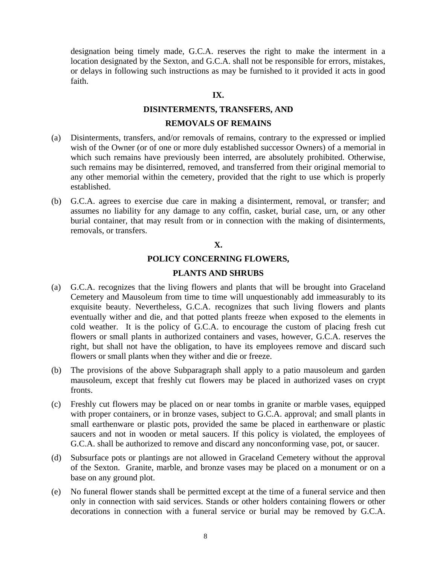designation being timely made, G.C.A. reserves the right to make the interment in a location designated by the Sexton, and G.C.A. shall not be responsible for errors, mistakes, or delays in following such instructions as may be furnished to it provided it acts in good faith.

### **IX.**

#### **DISINTERMENTS, TRANSFERS, AND**

#### **REMOVALS OF REMAINS**

- (a) Disinterments, transfers, and/or removals of remains, contrary to the expressed or implied wish of the Owner (or of one or more duly established successor Owners) of a memorial in which such remains have previously been interred, are absolutely prohibited. Otherwise, such remains may be disinterred, removed, and transferred from their original memorial to any other memorial within the cemetery, provided that the right to use which is properly established.
- (b) G.C.A. agrees to exercise due care in making a disinterment, removal, or transfer; and assumes no liability for any damage to any coffin, casket, burial case, urn, or any other burial container, that may result from or in connection with the making of disinterments, removals, or transfers.

# **X.**

#### **POLICY CONCERNING FLOWERS,**

#### **PLANTS AND SHRUBS**

- (a) G.C.A. recognizes that the living flowers and plants that will be brought into Graceland Cemetery and Mausoleum from time to time will unquestionably add immeasurably to its exquisite beauty. Nevertheless, G.C.A. recognizes that such living flowers and plants eventually wither and die, and that potted plants freeze when exposed to the elements in cold weather. It is the policy of G.C.A. to encourage the custom of placing fresh cut flowers or small plants in authorized containers and vases, however, G.C.A. reserves the right, but shall not have the obligation, to have its employees remove and discard such flowers or small plants when they wither and die or freeze.
- (b) The provisions of the above Subparagraph shall apply to a patio mausoleum and garden mausoleum, except that freshly cut flowers may be placed in authorized vases on crypt fronts.
- (c) Freshly cut flowers may be placed on or near tombs in granite or marble vases, equipped with proper containers, or in bronze vases, subject to G.C.A. approval; and small plants in small earthenware or plastic pots, provided the same be placed in earthenware or plastic saucers and not in wooden or metal saucers. If this policy is violated, the employees of G.C.A. shall be authorized to remove and discard any nonconforming vase, pot, or saucer.
- (d) Subsurface pots or plantings are not allowed in Graceland Cemetery without the approval of the Sexton. Granite, marble, and bronze vases may be placed on a monument or on a base on any ground plot.
- (e) No funeral flower stands shall be permitted except at the time of a funeral service and then only in connection with said services. Stands or other holders containing flowers or other decorations in connection with a funeral service or burial may be removed by G.C.A.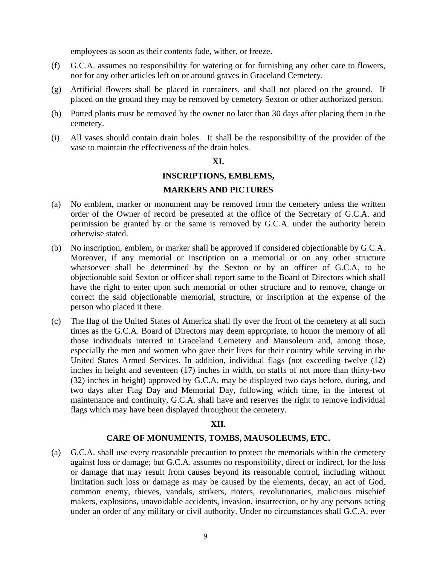employees as soon as their contents fade, wither, or freeze.

- (f) G.C.A. assumes no responsibility for watering or for furnishing any other care to flowers, nor for any other articles left on or around graves in Graceland Cemetery.
- (g) Artificial flowers shall be placed in containers, and shall not placed on the ground. If placed on the ground they may be removed by cemetery Sexton or other authorized person.
- (h) Potted plants must be removed by the owner no later than 30 days after placing them in the cemetery.
- (i) All vases should contain drain holes. It shall be the responsibility of the provider of the vase to maintain the effectiveness of the drain holes.

### **XI.**

# **INSCRIPTIONS, EMBLEMS,**

# **MARKERS AND PICTURES**

- (a) No emblem, marker or monument may be removed from the cemetery unless the written order of the Owner of record be presented at the office of the Secretary of G.C.A. and permission be granted by or the same is removed by G.C.A. under the authority herein otherwise stated.
- (b) No inscription, emblem, or marker shall be approved if considered objectionable by G.C.A. Moreover, if any memorial or inscription on a memorial or on any other structure whatsoever shall be determined by the Sexton or by an officer of G.C.A. to be objectionable said Sexton or officer shall report same to the Board of Directors which shall have the right to enter upon such memorial or other structure and to remove, change or correct the said objectionable memorial, structure, or inscription at the expense of the person who placed it there.
- (c) The flag of the United States of America shall fly over the front of the cemetery at all such times as the G.C.A. Board of Directors may deem appropriate, to honor the memory of all those individuals interred in Graceland Cemetery and Mausoleum and, among those, especially the men and women who gave their lives for their country while serving in the United States Armed Services. In addition, individual flags (not exceeding twelve (12) inches in height and seventeen (17) inches in width, on staffs of not more than thirty-two (32) inches in height) approved by G.C.A. may be displayed two days before, during, and two days after Flag Day and Memorial Day, following which time, in the interest of maintenance and continuity, G.C.A. shall have and reserves the right to remove individual flags which may have been displayed throughout the cemetery.

#### **XII.**

#### **CARE OF MONUMENTS, TOMBS, MAUSOLEUMS, ETC.**

(a) G.C.A. shall use every reasonable precaution to protect the memorials within the cemetery against loss or damage; but G.C.A. assumes no responsibility, direct or indirect, for the loss or damage that may result from causes beyond its reasonable control, including without limitation such loss or damage as may be caused by the elements, decay, an act of God, common enemy, thieves, vandals, strikers, rioters, revolutionaries, malicious mischief makers, explosions, unavoidable accidents, invasion, insurrection, or by any persons acting under an order of any military or civil authority. Under no circumstances shall G.C.A. ever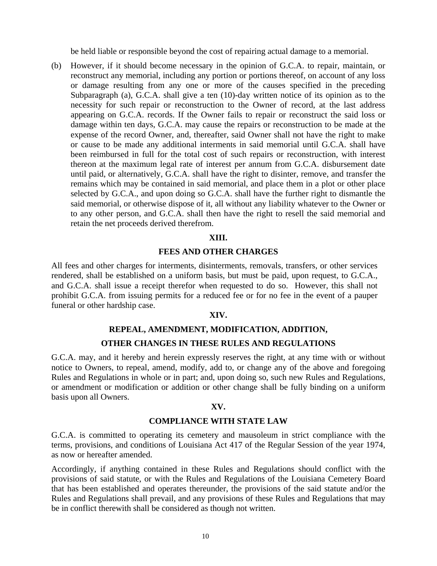be held liable or responsible beyond the cost of repairing actual damage to a memorial.

(b) However, if it should become necessary in the opinion of G.C.A. to repair, maintain, or reconstruct any memorial, including any portion or portions thereof, on account of any loss or damage resulting from any one or more of the causes specified in the preceding Subparagraph (a), G.C.A. shall give a ten (10)-day written notice of its opinion as to the necessity for such repair or reconstruction to the Owner of record, at the last address appearing on G.C.A. records. If the Owner fails to repair or reconstruct the said loss or damage within ten days, G.C.A. may cause the repairs or reconstruction to be made at the expense of the record Owner, and, thereafter, said Owner shall not have the right to make or cause to be made any additional interments in said memorial until G.C.A. shall have been reimbursed in full for the total cost of such repairs or reconstruction, with interest thereon at the maximum legal rate of interest per annum from G.C.A. disbursement date until paid, or alternatively, G.C.A. shall have the right to disinter, remove, and transfer the remains which may be contained in said memorial, and place them in a plot or other place selected by G.C.A., and upon doing so G.C.A. shall have the further right to dismantle the said memorial, or otherwise dispose of it, all without any liability whatever to the Owner or to any other person, and G.C.A. shall then have the right to resell the said memorial and retain the net proceeds derived therefrom.

#### **XIII.**

### **FEES AND OTHER CHARGES**

All fees and other charges for interments, disinterments, removals, transfers, or other services rendered, shall be established on a uniform basis, but must be paid, upon request, to G.C.A., and G.C.A. shall issue a receipt therefor when requested to do so. However, this shall not prohibit G.C.A. from issuing permits for a reduced fee or for no fee in the event of a pauper funeral or other hardship case.

#### **XIV.**

# **REPEAL, AMENDMENT, MODIFICATION, ADDITION, OTHER CHANGES IN THESE RULES AND REGULATIONS**

G.C.A. may, and it hereby and herein expressly reserves the right, at any time with or without notice to Owners, to repeal, amend, modify, add to, or change any of the above and foregoing Rules and Regulations in whole or in part; and, upon doing so, such new Rules and Regulations, or amendment or modification or addition or other change shall be fully binding on a uniform basis upon all Owners.

#### **XV.**

### **COMPLIANCE WITH STATE LAW**

G.C.A. is committed to operating its cemetery and mausoleum in strict compliance with the terms, provisions, and conditions of Louisiana Act 417 of the Regular Session of the year 1974, as now or hereafter amended.

Accordingly, if anything contained in these Rules and Regulations should conflict with the provisions of said statute, or with the Rules and Regulations of the Louisiana Cemetery Board that has been established and operates thereunder, the provisions of the said statute and/or the Rules and Regulations shall prevail, and any provisions of these Rules and Regulations that may be in conflict therewith shall be considered as though not written.